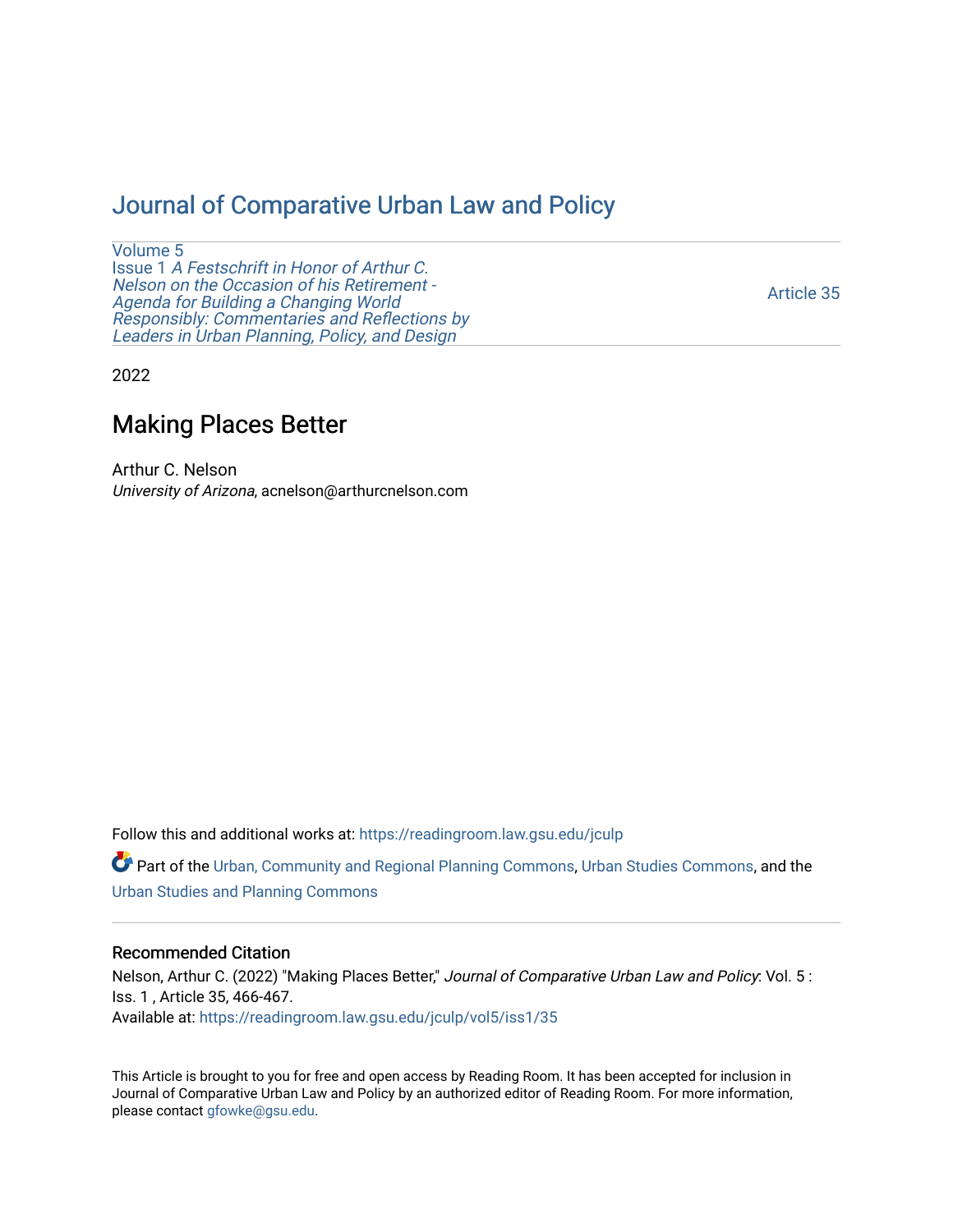## [Journal of Comparative Urban Law and Policy](https://readingroom.law.gsu.edu/jculp)

[Volume 5](https://readingroom.law.gsu.edu/jculp/vol5) Issue 1 [A Festschrift in Honor of Arthur C.](https://readingroom.law.gsu.edu/jculp/vol5/iss1) [Nelson on the Occasion of his Retirement -](https://readingroom.law.gsu.edu/jculp/vol5/iss1)  [Agenda for Building a Changing World](https://readingroom.law.gsu.edu/jculp/vol5/iss1)  [Responsibly: Commentaries and Reflections by](https://readingroom.law.gsu.edu/jculp/vol5/iss1) [Leaders in Urban Planning, Policy, and Design](https://readingroom.law.gsu.edu/jculp/vol5/iss1) 

[Article 35](https://readingroom.law.gsu.edu/jculp/vol5/iss1/35) 

2022

## Making Places Better

Arthur C. Nelson University of Arizona, acnelson@arthurcnelson.com

Follow this and additional works at: [https://readingroom.law.gsu.edu/jculp](https://readingroom.law.gsu.edu/jculp?utm_source=readingroom.law.gsu.edu%2Fjculp%2Fvol5%2Fiss1%2F35&utm_medium=PDF&utm_campaign=PDFCoverPages) 

Part of the [Urban, Community and Regional Planning Commons](http://network.bepress.com/hgg/discipline/776?utm_source=readingroom.law.gsu.edu%2Fjculp%2Fvol5%2Fiss1%2F35&utm_medium=PDF&utm_campaign=PDFCoverPages), [Urban Studies Commons](http://network.bepress.com/hgg/discipline/402?utm_source=readingroom.law.gsu.edu%2Fjculp%2Fvol5%2Fiss1%2F35&utm_medium=PDF&utm_campaign=PDFCoverPages), and the [Urban Studies and Planning Commons](http://network.bepress.com/hgg/discipline/436?utm_source=readingroom.law.gsu.edu%2Fjculp%2Fvol5%2Fiss1%2F35&utm_medium=PDF&utm_campaign=PDFCoverPages) 

## Recommended Citation

Nelson, Arthur C. (2022) "Making Places Better," Journal of Comparative Urban Law and Policy: Vol. 5: Iss. 1 , Article 35, 466-467. Available at: [https://readingroom.law.gsu.edu/jculp/vol5/iss1/35](https://readingroom.law.gsu.edu/jculp/vol5/iss1/35?utm_source=readingroom.law.gsu.edu%2Fjculp%2Fvol5%2Fiss1%2F35&utm_medium=PDF&utm_campaign=PDFCoverPages)

This Article is brought to you for free and open access by Reading Room. It has been accepted for inclusion in Journal of Comparative Urban Law and Policy by an authorized editor of Reading Room. For more information, please contact [gfowke@gsu.edu](mailto:gfowke@gsu.edu).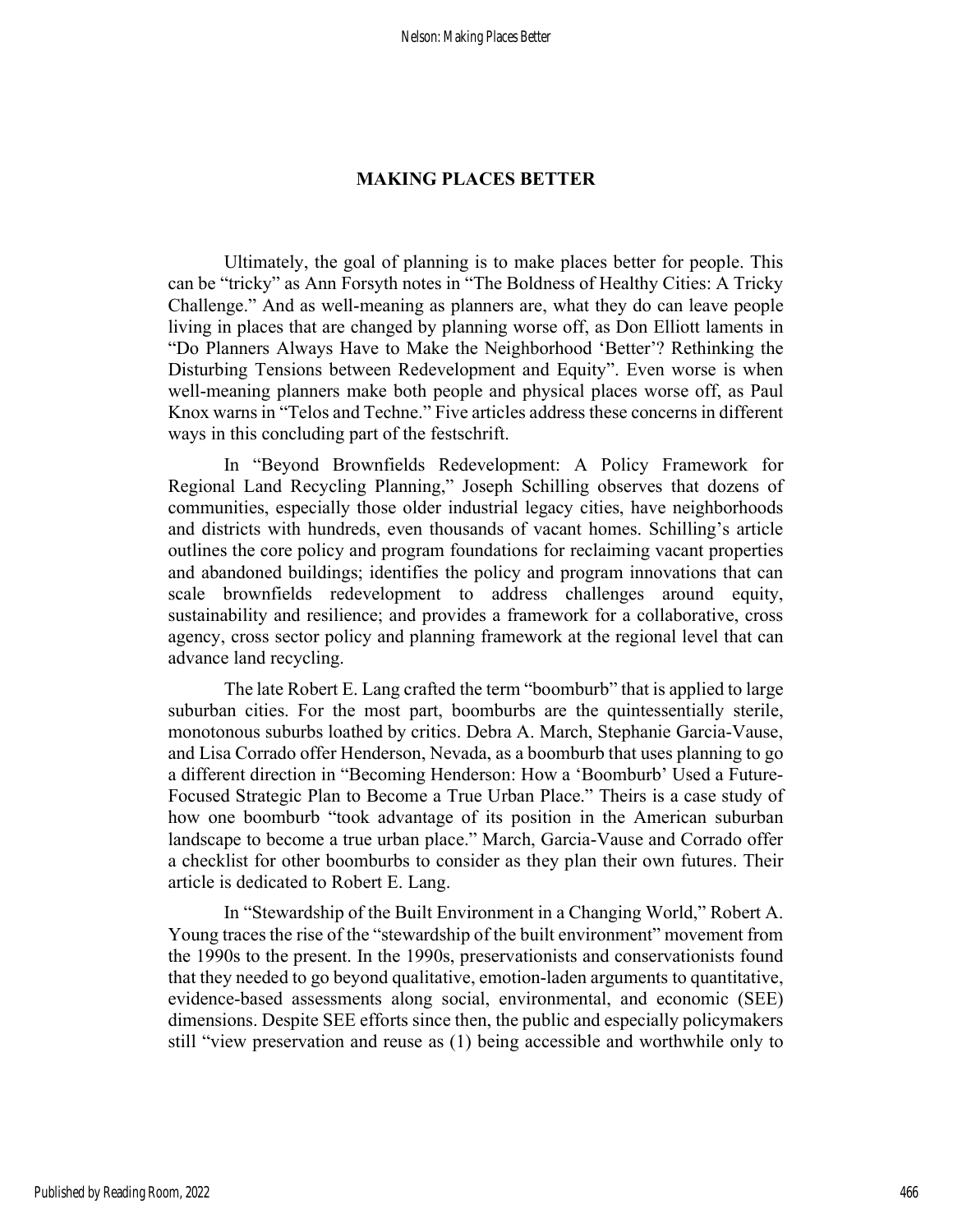## MAKING PLACES BETTER

 Ultimately, the goal of planning is to make places better for people. This can be "tricky" as Ann Forsyth notes in "The Boldness of Healthy Cities: A Tricky Challenge." And as well-meaning as planners are, what they do can leave people living in places that are changed by planning worse off, as Don Elliott laments in "Do Planners Always Have to Make the Neighborhood 'Better'? Rethinking the Disturbing Tensions between Redevelopment and Equity". Even worse is when well-meaning planners make both people and physical places worse off, as Paul Knox warns in "Telos and Techne." Five articles address these concerns in different ways in this concluding part of the festschrift.

In "Beyond Brownfields Redevelopment: A Policy Framework for Regional Land Recycling Planning," Joseph Schilling observes that dozens of communities, especially those older industrial legacy cities, have neighborhoods and districts with hundreds, even thousands of vacant homes. Schilling's article outlines the core policy and program foundations for reclaiming vacant properties and abandoned buildings; identifies the policy and program innovations that can scale brownfields redevelopment to address challenges around equity, sustainability and resilience; and provides a framework for a collaborative, cross agency, cross sector policy and planning framework at the regional level that can advance land recycling.

 The late Robert E. Lang crafted the term "boomburb" that is applied to large suburban cities. For the most part, boomburbs are the quintessentially sterile, monotonous suburbs loathed by critics. Debra A. March, Stephanie Garcia-Vause, and Lisa Corrado offer Henderson, Nevada, as a boomburb that uses planning to go a different direction in "Becoming Henderson: How a 'Boomburb' Used a Future-Focused Strategic Plan to Become a True Urban Place." Theirs is a case study of how one boomburb "took advantage of its position in the American suburban landscape to become a true urban place." March, Garcia-Vause and Corrado offer a checklist for other boomburbs to consider as they plan their own futures. Their article is dedicated to Robert E. Lang.

In "Stewardship of the Built Environment in a Changing World," Robert A. Young traces the rise of the "stewardship of the built environment" movement from the 1990s to the present. In the 1990s, preservationists and conservationists found that they needed to go beyond qualitative, emotion-laden arguments to quantitative, evidence-based assessments along social, environmental, and economic (SEE) dimensions. Despite SEE efforts since then, the public and especially policymakers still "view preservation and reuse as (1) being accessible and worthwhile only to